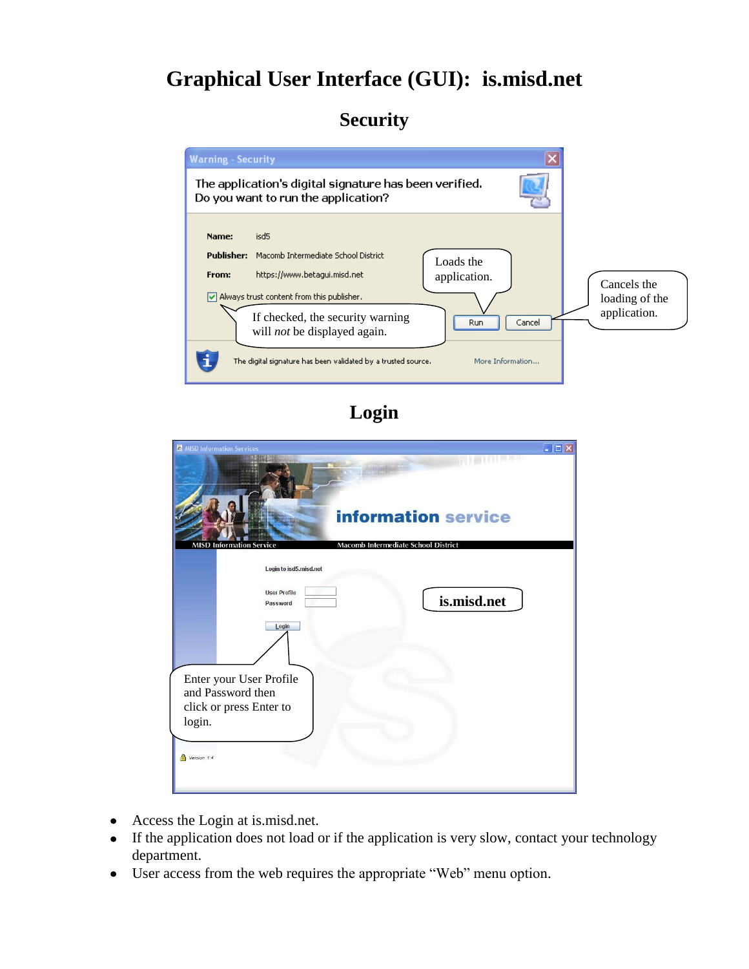# **Graphical User Interface (GUI): is.misd.net**

### **Security**



**Login**

| <b>A</b> MISD Information Services                                                | $\Box$ o $\times$ |
|-----------------------------------------------------------------------------------|-------------------|
| THE REAL<br><b>information service</b>                                            |                   |
| Macomb Intermediate School District<br><b>MISD Information Service</b>            |                   |
| Login to isd5.misd.net<br><b>User Profile</b><br>is.misd.net<br>Password<br>Login |                   |
| Enter your User Profile<br>and Password then<br>click or press Enter to<br>login. |                   |
| Version 1.4                                                                       |                   |

- Access the Login at is.misd.net.  $\bullet$
- If the application does not load or if the application is very slow, contact your technology  $\bullet$ department.
- User access from the web requires the appropriate "Web" menu option.  $\bullet$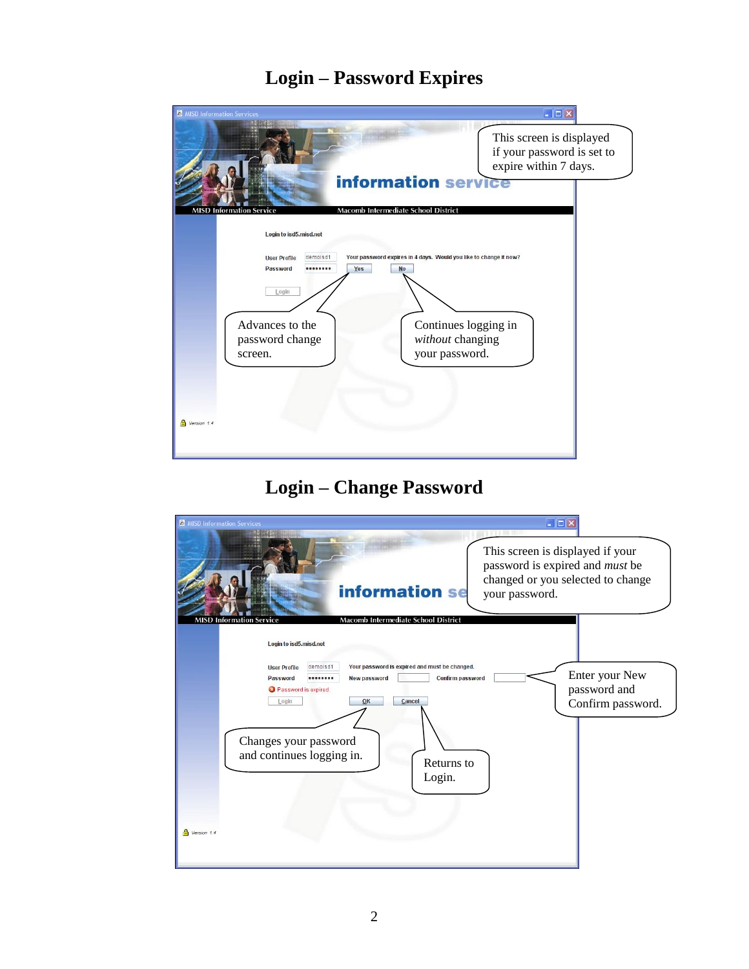# **Login – Password Expires**

| <b>A</b> MISD Information Services                                                                                                                                                                                                                                 | $\  \mathbf{I} \mathbf{I} \  \mathbf{I} \mathbf{I} \mathbf{X}$ |
|--------------------------------------------------------------------------------------------------------------------------------------------------------------------------------------------------------------------------------------------------------------------|----------------------------------------------------------------|
| This screen is displayed<br>if your password is set to<br>expire within 7 days.                                                                                                                                                                                    |                                                                |
| information service<br>Macomb Intermediate School District<br><b>MISD Information Service</b>                                                                                                                                                                      |                                                                |
| Login to isd5.misd.net<br>Your password expires in 4 days. Would you like to change it now?<br>demoisd1<br><b>User Profile</b><br>Password<br>Yes<br><b>No</b><br><br>Login<br>Advances to the<br>without changing<br>password change<br>your password.<br>screen. | Continues logging in                                           |
| Version 1.4                                                                                                                                                                                                                                                        |                                                                |

# **Login – Change Password**

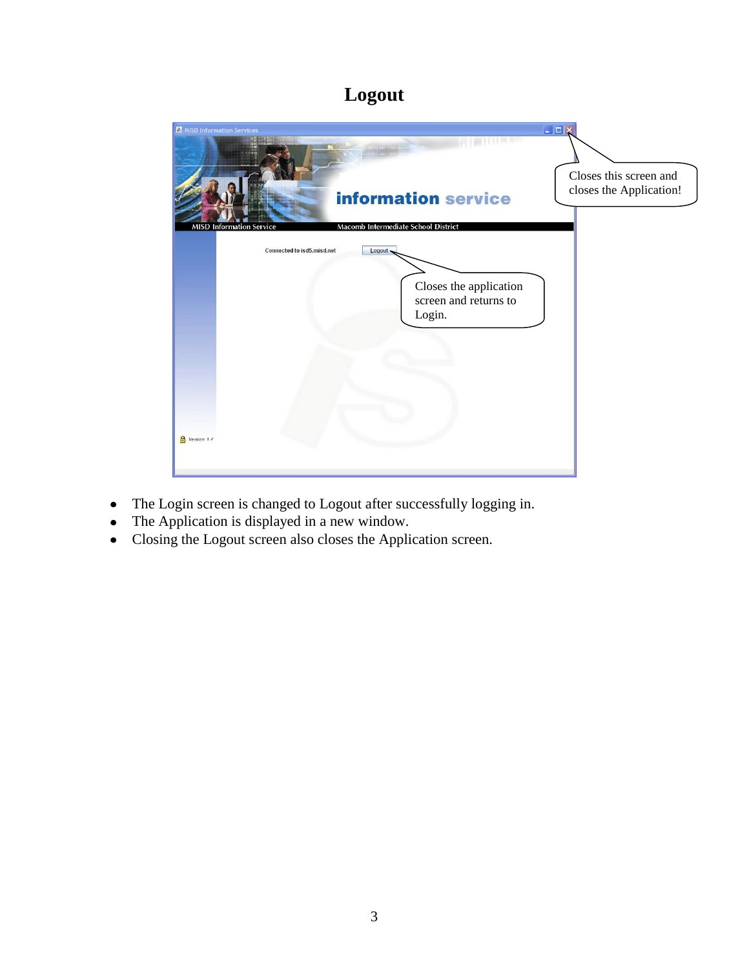# **Logout**



- The Login screen is changed to Logout after successfully logging in.  $\bullet$
- The Application is displayed in a new window.
- Closing the Logout screen also closes the Application screen.  $\bullet$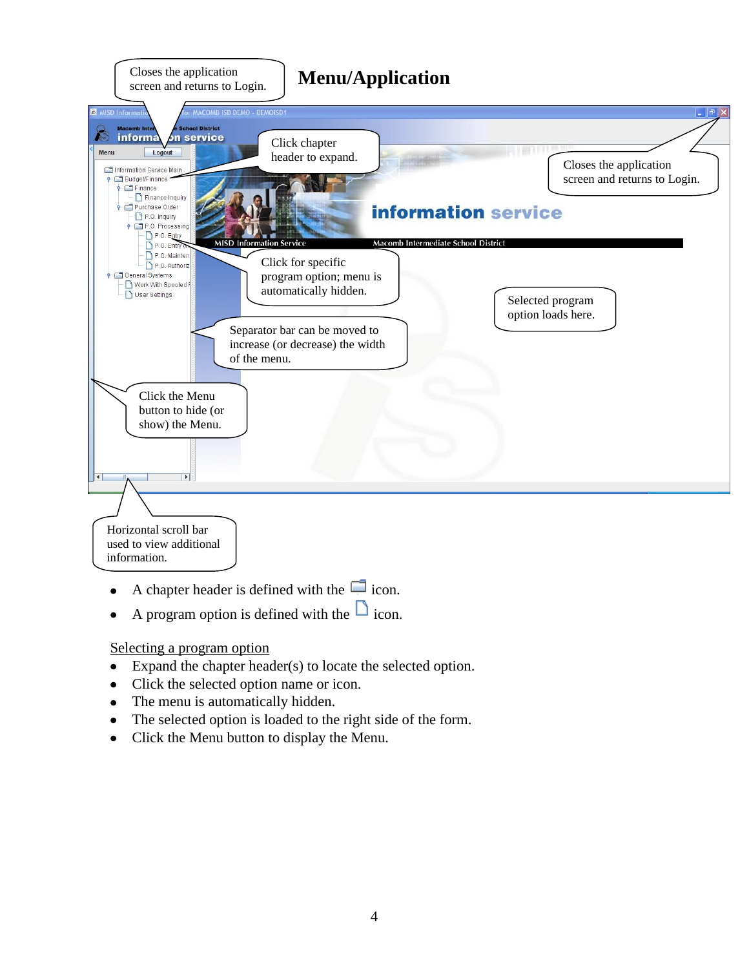

- A chapter header is defined with the  $\Box$  icon.  $\bullet$
- A program option is defined with the  $\Box$  icon.  $\bullet$

Selecting a program option

- Expand the chapter header(s) to locate the selected option.  $\bullet$
- Click the selected option name or icon.
- The menu is automatically hidden.  $\bullet$
- The selected option is loaded to the right side of the form.  $\bullet$
- Click the Menu button to display the Menu.  $\bullet$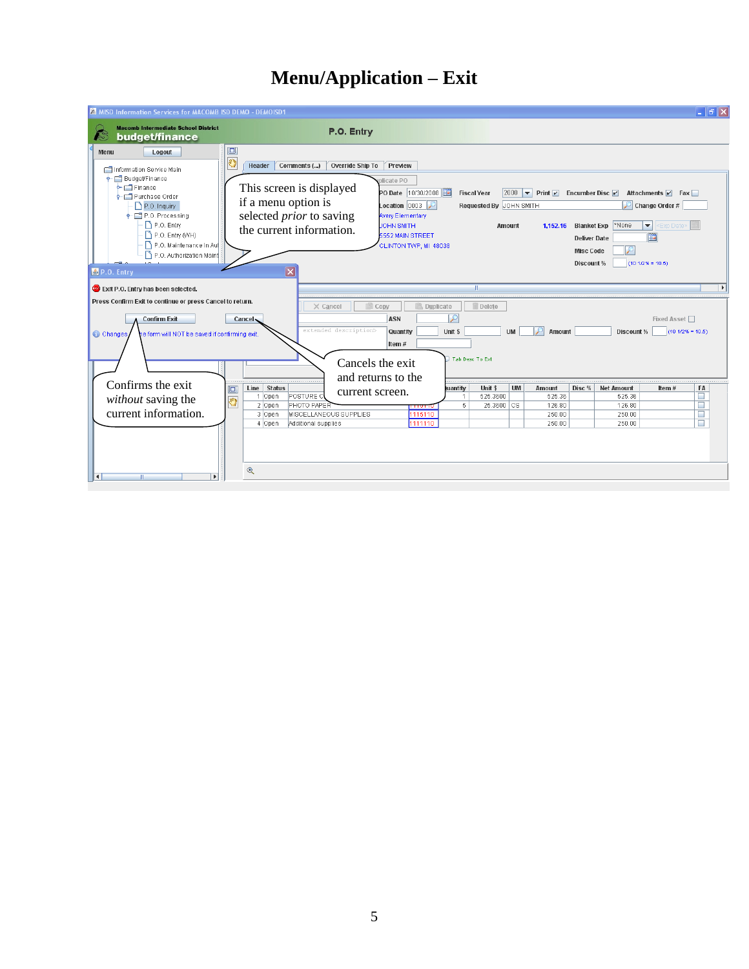### **Menu/Application – Exit**

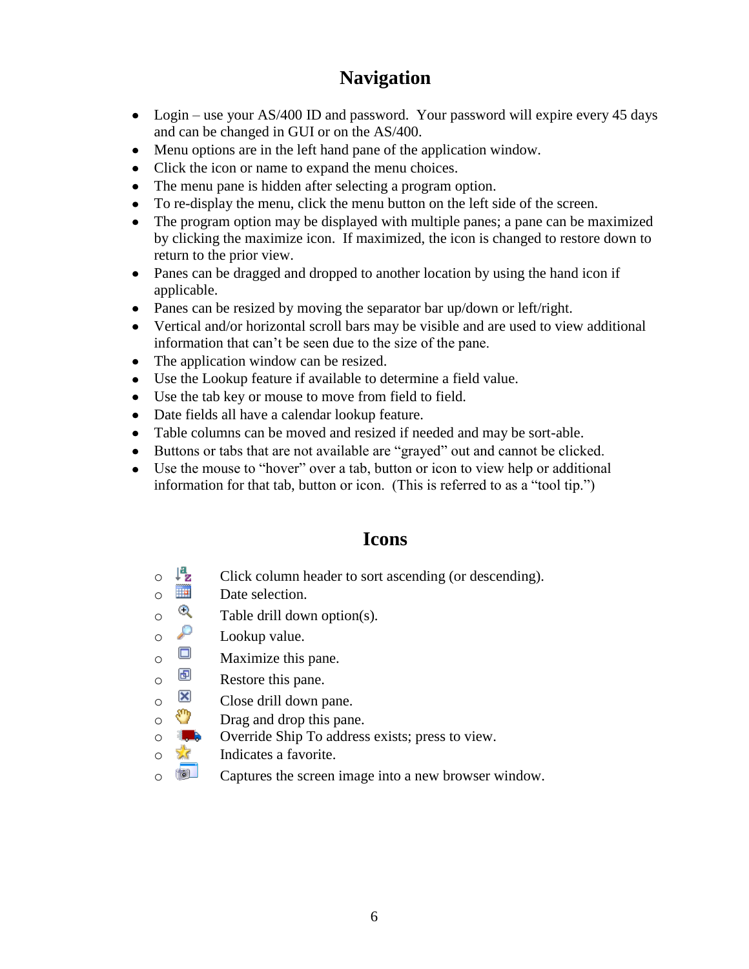#### **Navigation**

- Login use your AS/400 ID and password. Your password will expire every 45 days and can be changed in GUI or on the AS/400.
- Menu options are in the left hand pane of the application window.
- Click the icon or name to expand the menu choices.
- The menu pane is hidden after selecting a program option.
- To re-display the menu, click the menu button on the left side of the screen.
- The program option may be displayed with multiple panes; a pane can be maximized by clicking the maximize icon. If maximized, the icon is changed to restore down to return to the prior view.
- Panes can be dragged and dropped to another location by using the hand icon if applicable.
- Panes can be resized by moving the separator bar up/down or left/right.
- Vertical and/or horizontal scroll bars may be visible and are used to view additional information that can't be seen due to the size of the pane.
- The application window can be resized.
- Use the Lookup feature if available to determine a field value.
- Use the tab key or mouse to move from field to field.
- Date fields all have a calendar lookup feature.
- Table columns can be moved and resized if needed and may be sort-able.
- Buttons or tabs that are not available are "grayed" out and cannot be clicked.
- Use the mouse to "hover" over a tab, button or icon to view help or additional information for that tab, button or icon. (This is referred to as a "tool tip.")

#### **Icons**

- $\circ$   $\downarrow^2$  Click column header to sort ascending (or descending).
- $\circ$  **D**ate selection.
- $\circ$  Table drill down option(s).
- $\circ$   $\circ$  Lookup value.
- $\circ$  Maximize this pane.
- $\circ$   $\Box$  Restore this pane.
- $\circ$   $\overline{\mathbf{X}}$  Close drill down pane.
- o **Drag** and drop this pane.
- $\circ$  **J.** Override Ship To address exists; press to view.
- o **If** Indicates a favorite.
- **o** Captures the screen image into a new browser window.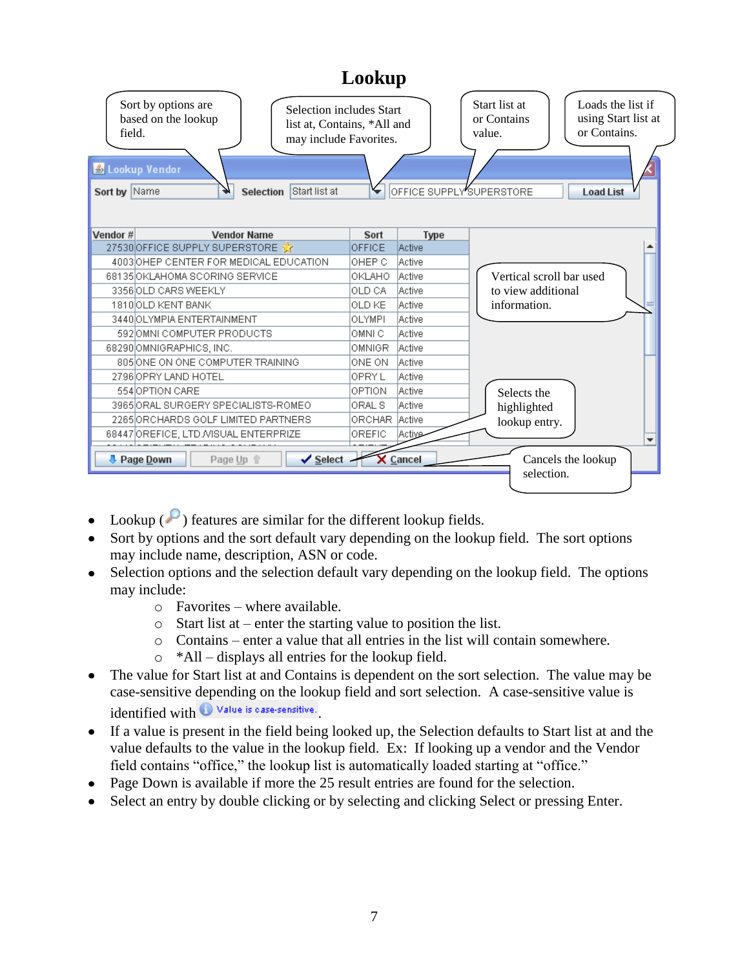|                                                                                                                                                                                                                          | Lookup       |               |                                                                                                                                                    |
|--------------------------------------------------------------------------------------------------------------------------------------------------------------------------------------------------------------------------|--------------|---------------|----------------------------------------------------------------------------------------------------------------------------------------------------|
| Sort by options are<br><b>Selection includes Start</b><br>based on the lookup<br>list at, Contains, *All and<br>field.<br>may include Favorites.<br>& Lookup Vendor<br>Start list at<br>Sort by Name<br><b>Selection</b> |              |               | Start list at<br>Loads the list if<br>using Start list at<br>or Contains<br>or Contains.<br>value.<br>OFFICE SUPPLY SUPERSTORE<br><b>Load List</b> |
| Vendor #<br><b>Vendor Name</b>                                                                                                                                                                                           | Sort         | <b>Type</b>   |                                                                                                                                                    |
| 27530 OFFICE SUPPLY SUPERSTORE                                                                                                                                                                                           | OFFICE       | Active        |                                                                                                                                                    |
| 4003 OHEP CENTER FOR MEDICAL EDUCATION                                                                                                                                                                                   | OHEP C       | <b>Active</b> |                                                                                                                                                    |
| 68135 OKLAHOMA SCORING SERVICE                                                                                                                                                                                           | OKLAHO       | <b>Active</b> | Vertical scroll bar used                                                                                                                           |
| 3356 OLD CARS WEEKLY                                                                                                                                                                                                     | OLD CA       | <b>Active</b> | to view additional                                                                                                                                 |
| 1810 OLD KENT BANK                                                                                                                                                                                                       | OLD KE       | <b>Active</b> | information.                                                                                                                                       |
| 3440 OLYMPIA ENTERTAINMENT                                                                                                                                                                                               | OLYMPI       | <b>Active</b> |                                                                                                                                                    |
| 592 JOMNI COMPUTER PRODUCTS                                                                                                                                                                                              | OMNI C       | Active        |                                                                                                                                                    |
| 68290 OMNIGRAPHICS, INC.                                                                                                                                                                                                 | OMNIGR.      | <b>Active</b> |                                                                                                                                                    |
| 805 ON ONE COMPUTER TRAINING                                                                                                                                                                                             | ONE ON       | <b>Active</b> |                                                                                                                                                    |
| 2796 OPRY LAND HOTEL                                                                                                                                                                                                     | <b>OPRYL</b> | <b>Active</b> |                                                                                                                                                    |
| 554 OPTION CARE                                                                                                                                                                                                          | OPTION       | <b>Active</b> | Selects the                                                                                                                                        |
| 3965 ORAL SURGERY SPECIALISTS-ROMEO                                                                                                                                                                                      | ORAL S       | <b>Active</b> | highlighted                                                                                                                                        |
| 2265 ORCHARDS GOLF LIMITED PARTNERS                                                                                                                                                                                      | ORCHAR       | <b>Active</b> | lookup entry.                                                                                                                                      |
| 68447 OREFICE, LTD. MISUAL ENTERPRIZE                                                                                                                                                                                    | OREFIC       | <b>Active</b> |                                                                                                                                                    |
| <b>D</b> Page Down<br>$\checkmark$ Select<br>Page Up 个                                                                                                                                                                   |              | X Cancel      | Cancels the lookup<br>selection.                                                                                                                   |

- Lookup  $(\bullet)$  features are similar for the different lookup fields.
- Sort by options and the sort default vary depending on the lookup field. The sort options may include name, description, ASN or code.
- Selection options and the selection default vary depending on the lookup field. The options may include:
	- o Favorites where available.
	- o Start list at enter the starting value to position the list.
	- o Contains enter a value that all entries in the list will contain somewhere.
	- o \*All displays all entries for the lookup field.
- The value for Start list at and Contains is dependent on the sort selection. The value may be case-sensitive depending on the lookup field and sort selection. A case-sensitive value is identified with  $\bigcirc$  Value is case-sensitive.
- If a value is present in the field being looked up, the Selection defaults to Start list at and the value defaults to the value in the lookup field. Ex: If looking up a vendor and the Vendor field contains "office," the lookup list is automatically loaded starting at "office."
- Page Down is available if more the 25 result entries are found for the selection.
- Select an entry by double clicking or by selecting and clicking Select or pressing Enter.